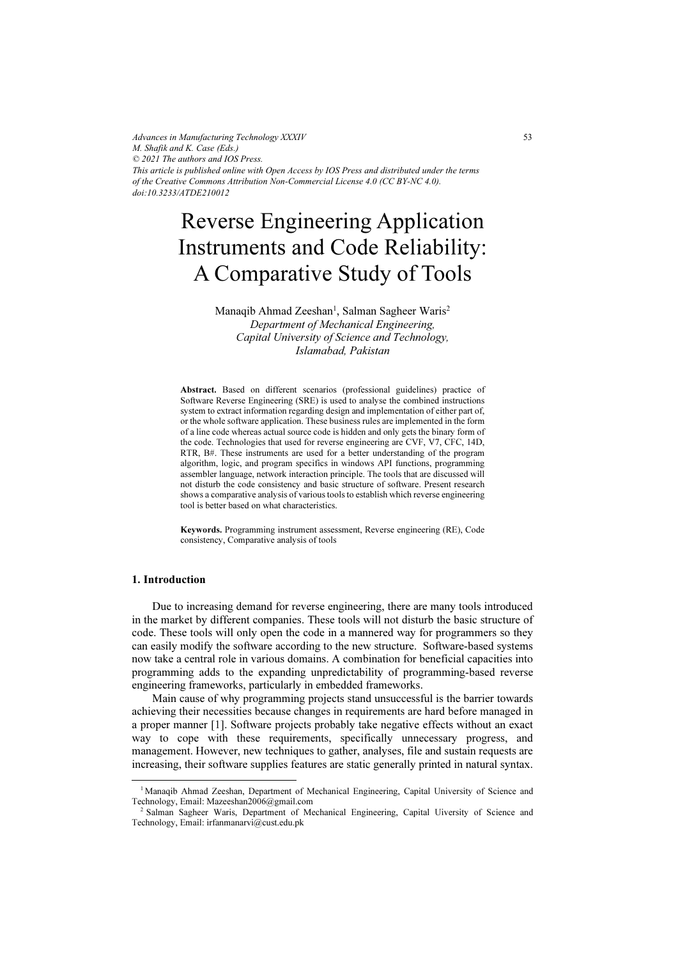*Advances in Manufacturing Technology XXXIV M. Shafik and K. Case (Eds.) © 2021 The authors and IOS Press. This article is published online with Open Access by IOS Press and distributed under the terms of the Creative Commons Attribution Non-Commercial License 4.0 (CC BY-NC 4.0). doi:10.3233/ATDE210012*

# Reverse Engineering Application Instruments and Code Reliability: A Comparative Study of Tools

Manaqib Ahmad Zeeshan<sup>1</sup>, Salman Sagheer Waris<sup>2</sup>

Department of Mechanical Engineering, Capital University of Science and Technology, Islamabad, Pakistan

Abstract. Based on different scenarios (professional guidelines) practice of Software Reverse Engineering (SRE) is used to analyse the combined instructions system to extract information regarding design and implementation of either part of, or the whole software application. These business rules are implemented in the form of a line code whereas actual source code is hidden and only gets the binary form of the code. Technologies that used for reverse engineering are CVF, V7, CFC, 14D, RTR, B#. These instruments are used for a better understanding of the program algorithm, logic, and program specifics in windows API functions, programming assembler language, network interaction principle. The tools that are discussed will not disturb the code consistency and basic structure of software. Present research shows a comparative analysis of various tools to establish which reverse engineering tool is better based on what characteristics.

Keywords. Programming instrument assessment, Reverse engineering (RE), Code consistency, Comparative analysis of tools

# 1. Introduction

Due to increasing demand for reverse engineering, there are many tools introduced in the market by different companies. These tools will not disturb the basic structure of code. These tools will only open the code in a mannered way for programmers so they can easily modify the software according to the new structure. Software-based systems now take a central role in various domains. A combination for beneficial capacities into programming adds to the expanding unpredictability of programming-based reverse engineering frameworks, particularly in embedded frameworks.

Main cause of why programming projects stand unsuccessful is the barrier towards achieving their necessities because changes in requirements are hard before managed in a proper manner [1]. Software projects probably take negative effects without an exact way to cope with these requirements, specifically unnecessary progress, and management. However, new techniques to gather, analyses, file and sustain requests are increasing, their software supplies features are static generally printed in natural syntax.

<sup>&</sup>lt;sup>1</sup> Manaqib Ahmad Zeeshan, Department of Mechanical Engineering, Capital University of Science and Technology, Email: Mazeeshan2006@gmail.com

<sup>&</sup>lt;sup>2</sup> Salman Sagheer Waris, Department of Mechanical Engineering, Capital Uiversity of Science and Technology, Email: irfanmanarvi@cust.edu.pk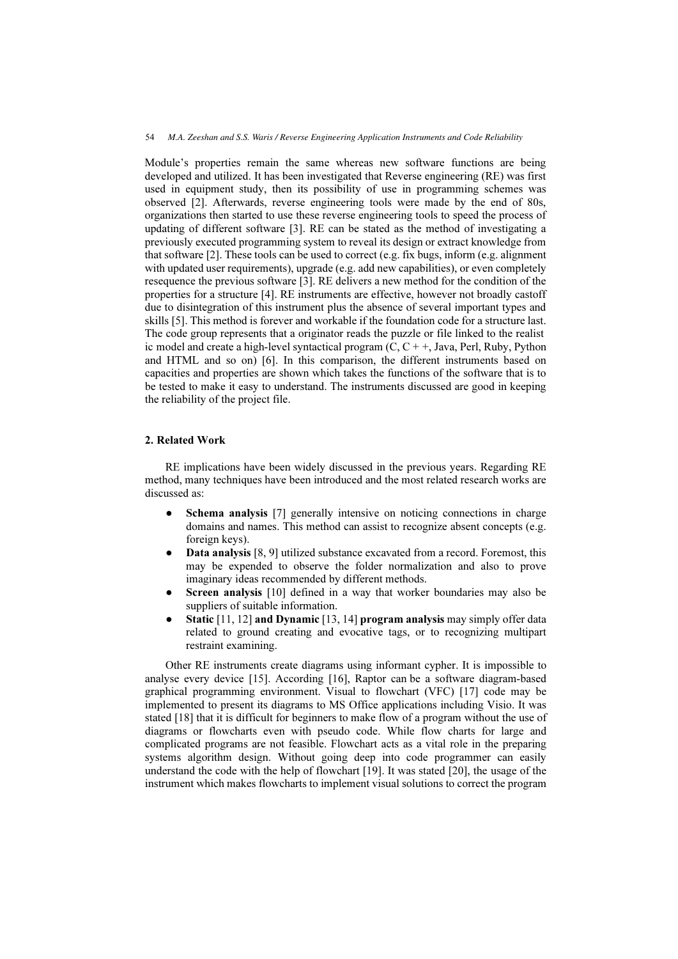Module's properties remain the same whereas new software functions are being developed and utilized. It has been investigated that Reverse engineering (RE) was first used in equipment study, then its possibility of use in programming schemes was observed [2]. Afterwards, reverse engineering tools were made by the end of 80s, organizations then started to use these reverse engineering tools to speed the process of updating of different software [3]. RE can be stated as the method of investigating a previously executed programming system to reveal its design or extract knowledge from that software [2]. These tools can be used to correct (e.g. fix bugs, inform (e.g. alignment with updated user requirements), upgrade (e.g. add new capabilities), or even completely resequence the previous software [3]. RE delivers a new method for the condition of the properties for a structure [4]. RE instruments are effective, however not broadly castoff due to disintegration of this instrument plus the absence of several important types and skills [5]. This method is forever and workable if the foundation code for a structure last. The code group represents that a originator reads the puzzle or file linked to the realist ic model and create a high-level syntactical program (C,  $C + \frac{1}{2}$ , Java, Perl, Ruby, Python and HTML and so on) [6]. In this comparison, the different instruments based on capacities and properties are shown which takes the functions of the software that is to be tested to make it easy to understand. The instruments discussed are good in keeping the reliability of the project file.

# 2. Related Work

RE implications have been widely discussed in the previous years. Regarding RE method, many techniques have been introduced and the most related research works are discussed as:

- ●Schema analysis [7] generally intensive on noticing connections in charge domains and names. This method can assist to recognize absent concepts (e.g. foreign keys).
- ● Data analysis [8, 9] utilized substance excavated from a record. Foremost, this may be expended to observe the folder normalization and also to prove imaginary ideas recommended by different methods.
- ●Screen analysis [10] defined in a way that worker boundaries may also be suppliers of suitable information.
- ●Static [11, 12] and Dynamic [13, 14] program analysis may simply offer data related to ground creating and evocative tags, or to recognizing multipart restraint examining.

Other RE instruments create diagrams using informant cypher. It is impossible to analyse every device [15]. According [16], Raptor can.be a software diagram-based graphical programming environment. Visual to flowchart (VFC) [17] code may be implemented to present its diagrams to MS Office applications including Visio. It was stated [18] that it is difficult for beginners to make flow of a program without the use of diagrams or flowcharts even with pseudo code. While flow charts for large and complicated programs are not feasible. Flowchart acts as a vital role in the preparing systems algorithm design. Without going deep into code programmer can easily understand the code with the help of flowchart [19]. It was stated [20], the usage of the instrument which makes flowcharts to implement visual solutions to correct the program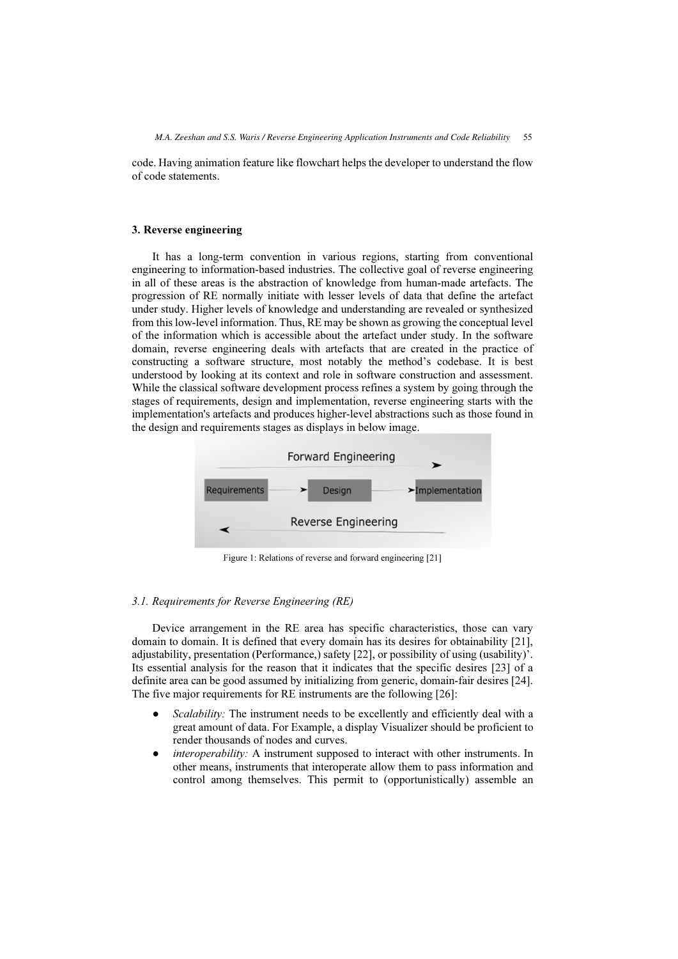code. Having animation feature like flowchart helps the developer to understand the flow of code statements.

## 3. Reverse engineering

It has a long-term convention in various regions, starting from conventional engineering to information-based industries. The collective goal of reverse engineering in all of these areas is the abstraction of knowledge from human-made artefacts. The progression of RE normally initiate with lesser levels of data that define the artefact under study. Higher levels of knowledge and understanding are revealed or synthesized from this low-level information. Thus, RE may be shown as growing the conceptual level of the information which is accessible about the artefact under study. In the software domain, reverse engineering deals with artefacts that are created in the practice of constructing a software structure, most notably the method's codebase. It is best understood by looking at its context and role in software construction and assessment. While the classical software development process refines a system by going through the stages of requirements, design and implementation, reverse engineering starts with the implementation's artefacts and produces higher-level abstractions such as those found in the design and requirements stages as displays in below image.



Figure 1: Relations of reverse and forward engineering [21]

# 3.1. Requirements for Reverse Engineering (RE)

Device arrangement in the RE area has specific characteristics, those can vary domain to domain. It is defined that every domain has its desires for obtainability [21], adjustability, presentation (Performance,) safety [22], or possibility of using (usability)'. Its essential analysis for the reason that it indicates that the specific desires [23] of a definite area can be good assumed by initializing from generic, domain-fair desires [24]. The five major requirements for RE instruments are the following [26]:

- ●Scalability: The instrument needs to be excellently and efficiently deal with a great amount of data. For Example, a display Visualizer should be proficient to render thousands of nodes and curves.
- ● interoperability: A instrument supposed to interact with other instruments. In other means, instruments that interoperate allow them to pass information and control among themselves. This permit to (opportunistically) assemble an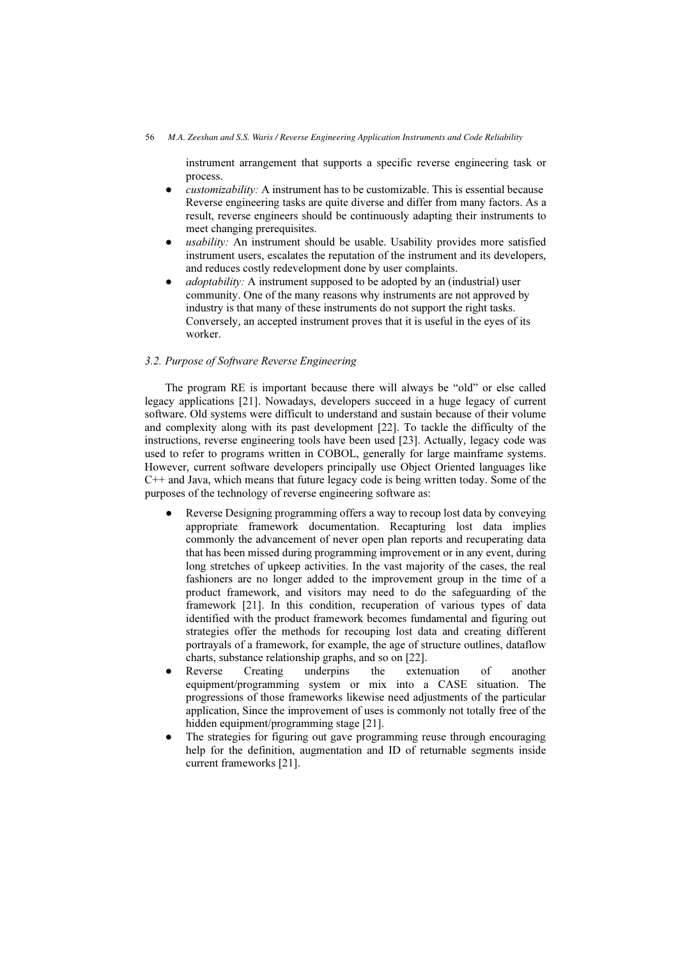instrument arrangement that supports a specific reverse engineering task or process.

- $\bullet$ customizability: A instrument has to be customizable. This is essential because. Reverse engineering tasks are quite diverse and differ from many factors. As a result, reverse engineers should be continuously adapting their instruments to meet changing prerequisites.
- ● usability: An instrument should be usable. Usability provides more satisfied instrument users, escalates the reputation of the instrument and its developers, and reduces costly redevelopment done by user complaints.
- ● adoptability: A instrument supposed to be adopted by an (industrial) user community. One of the many reasons why instruments are not approved by industry is that many of these instruments do not support the right tasks. Conversely, an accepted instrument proves that it is useful in the eyes of its worker.

# 3.2. Purpose of Software Reverse Engineering

The program RE is important because there will always be "old" or else called legacy applications [21]. Nowadays, developers succeed in a huge legacy of current software. Old systems were difficult to understand and sustain because of their volume and complexity along with its past development [22]. To tackle the difficulty of the instructions, reverse engineering tools have been used [23]. Actually, legacy code was used to refer to programs written in COBOL, generally for large mainframe systems. However, current software developers principally use Object Oriented languages like C++ and Java, which means that future legacy code is being written today. Some of the purposes of the technology of reverse engineering software as:

- ● Reverse Designing programming offers a way to recoup lost data by conveying appropriate framework documentation. Recapturing lost data implies commonly the advancement of never open plan reports and recuperating data that has been missed during programming improvement or in any event, during long stretches of upkeep activities. In the vast majority of the cases, the real fashioners are no longer added to the improvement group in the time of a product framework, and visitors may need to do the safeguarding of the framework [21]. In this condition, recuperation of various types of data identified with the product framework becomes fundamental and figuring out strategies offer the methods for recouping lost data and creating different portrayals of a framework, for example, the age of structure outlines, dataflow charts, substance relationship graphs, and so on [22].
- ● Reverse Creating underpins the extenuation of another equipment/programming system or mix into a CASE situation. The progressions of those frameworks likewise need adjustments of the particular application, Since the improvement of uses is commonly not totally free of the hidden equipment/programming stage [21].
- ● The strategies for figuring out gave programming reuse through encouraging help for the definition, augmentation and ID of returnable segments inside current frameworks [21].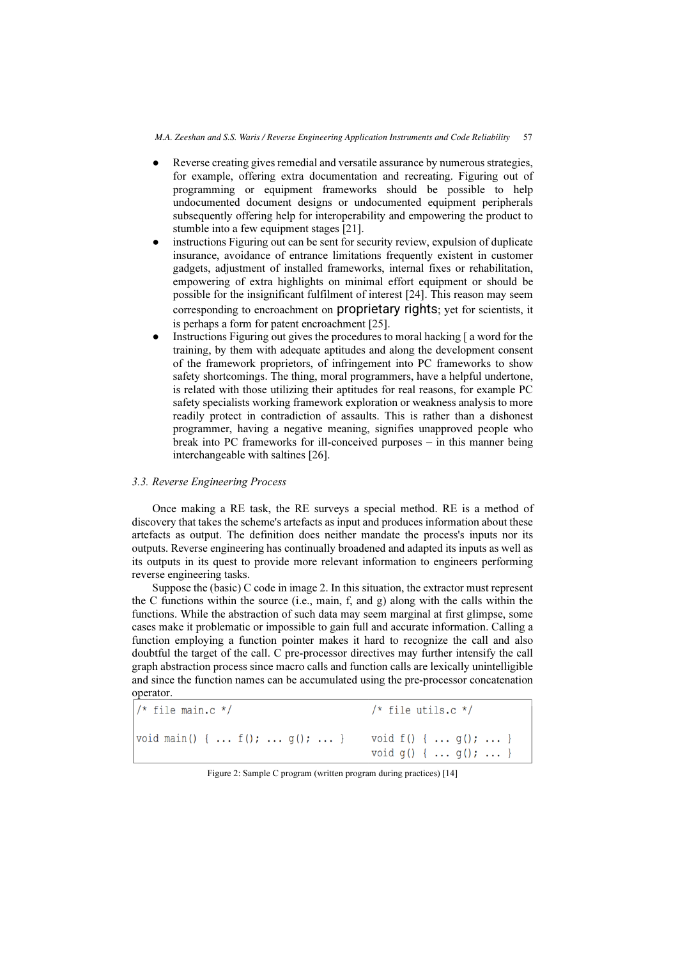- ● Reverse creating gives remedial and versatile assurance by numerous strategies, for example, offering extra documentation and recreating. Figuring out of programming or equipment frameworks should be possible to help undocumented document designs or undocumented equipment peripherals subsequently offering help for interoperability and empowering the product to stumble into a few equipment stages [21].
- ● instructions Figuring out can be sent for security review, expulsion of duplicate insurance, avoidance of entrance limitations frequently existent in customer gadgets, adjustment of installed frameworks, internal fixes or rehabilitation, empowering of extra highlights on minimal effort equipment or should be possible for the insignificant fulfilment of interest [24]. This reason may seem corresponding to encroachment on proprietary rights; yet for scientists, it is perhaps a form for patent encroachment [25].
- ● Instructions Figuring out gives the procedures to moral hacking [ a word for the training, by them with adequate aptitudes and along the development consent of the framework proprietors, of infringement into PC frameworks to show safety shortcomings. The thing, moral programmers, have a helpful undertone, is related with those utilizing their aptitudes for real reasons, for example PC safety specialists working framework exploration or weakness analysis to more readily protect in contradiction of assaults. This is rather than a dishonest programmer, having a negative meaning, signifies unapproved people who break into PC frameworks for ill-conceived purposes – in this manner being interchangeable with saltines [26].

# 3.3. Reverse Engineering Process

Once making a RE task, the RE surveys a special method. RE is a method of discovery that takes the scheme's artefacts as input and produces information about these artefacts as output. The definition does neither mandate the process's inputs nor its outputs. Reverse engineering has continually broadened and adapted its inputs as well as its outputs in its quest to provide more relevant information to engineers performing reverse engineering tasks.

Suppose the (basic) C code in image 2. In this situation, the extractor must represent the C functions within the source (i.e., main, f, and g) along with the calls within the functions. While the abstraction of such data may seem marginal at first glimpse, some cases make it problematic or impossible to gain full and accurate information. Calling a function employing a function pointer makes it hard to recognize the call and also doubtful the target of the call. C pre-processor directives may further intensify the call graph abstraction process since macro calls and function calls are lexically unintelligible and since the function names can be accumulated using the pre-processor concatenation operator.

 $/*$  file main.c \*/  $/*$  file utils.c \*/ void main() { ...  $f()$ ; ...  $g()$ ; ... } void  $f() \{ ... q(); ... \}$ void  $g()$  { ...  $g()$ ; ... }

Figure 2: Sample C program (written program during practices) [14]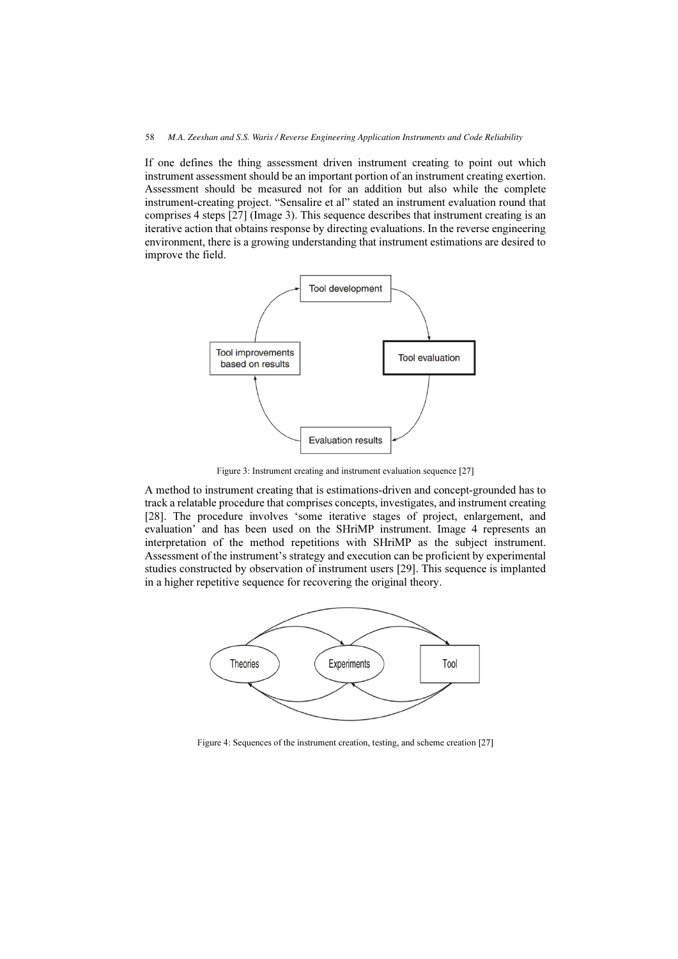If one defines the thing assessment driven instrument creating to point out which instrument assessment should be an important portion of an instrument creating exertion. Assessment should be measured not for an addition but also while the complete instrument-creating project. "Sensalire et al" stated an instrument evaluation round that comprises 4 steps [27] (Image 3). This sequence describes that instrument creating is an iterative action that obtains response by directing evaluations. In the reverse engineering environment, there is a growing understanding that instrument estimations are desired to improve the field.



Figure 3: Instrument creating and instrument evaluation sequence [27]

A method to instrument creating that is estimations-driven and concept-grounded has to track a relatable procedure that comprises concepts, investigates, and instrument creating [28]. The procedure involves 'some iterative stages of project, enlargement, and evaluation' and has been used on the SHriMP instrument. Image 4 represents an interpretation of the method repetitions with SHriMP as the subject instrument. Assessment of the instrument's strategy and execution can be proficient by experimental studies constructed by observation of instrument users [29]. This sequence is implanted in a higher repetitive sequence for recovering the original theory.



Figure 4: Sequences of the instrument creation, testing, and scheme creation [27]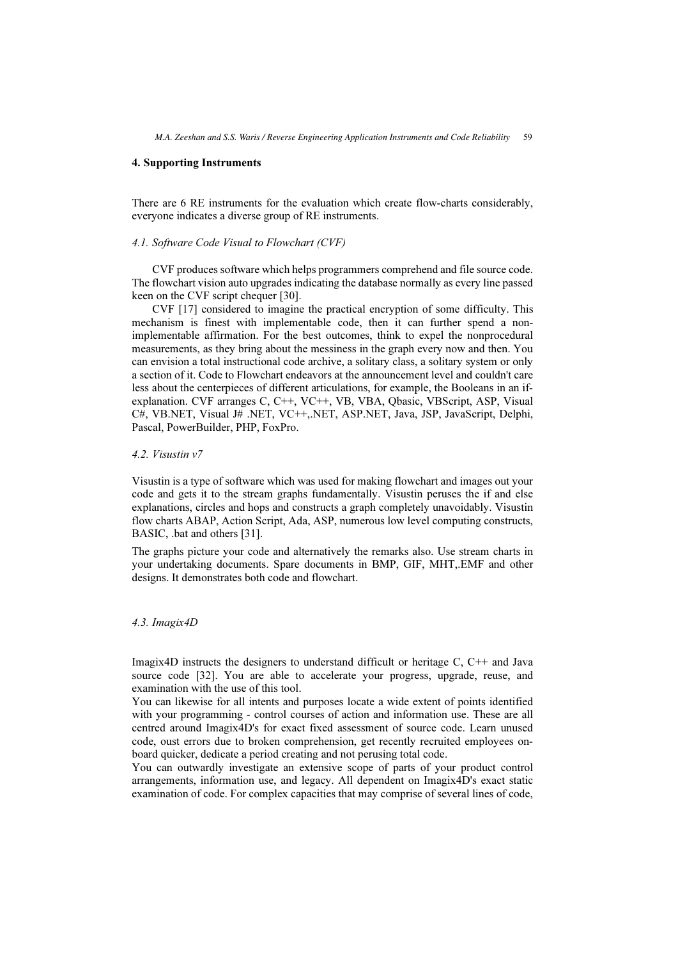#### 4. Supporting Instruments

There are 6 RE instruments for the evaluation which create flow-charts considerably, everyone indicates a diverse group of RE instruments.

#### 4.1. Software Code Visual to Flowchart (CVF)

CVF produces software which helps programmers comprehend and file source code. The flowchart vision auto upgrades indicating the database normally as every line passed keen on the CVF script chequer [30].

CVF [17] considered to imagine the practical encryption of some difficulty. This mechanism is finest with implementable code, then it can further spend a nonimplementable affirmation. For the best outcomes, think to expel the nonprocedural measurements, as they bring about the messiness in the graph every now and then. You can envision a total instructional code archive, a solitary class, a solitary system or only a section of it. Code to Flowchart endeavors at the announcement level and couldn't care less about the centerpieces of different articulations, for example, the Booleans in an ifexplanation. CVF arranges C, C++, VC++, VB, VBA, Qbasic, VBScript, ASP, Visual C#, VB.NET, Visual J# .NET, VC++,.NET, ASP.NET, Java, JSP, JavaScript, Delphi, Pascal, PowerBuilder, PHP, FoxPro.

#### 4.2. Visustin v7

Visustin is a type of software which was used for making flowchart and images out your code and gets it to the stream graphs fundamentally. Visustin peruses the if and else explanations, circles and hops and constructs a graph completely unavoidably. Visustin flow charts ABAP, Action Script, Ada, ASP, numerous low level computing constructs, BASIC, .bat and others [31].

The graphs picture your code and alternatively the remarks also. Use stream charts in your undertaking documents. Spare documents in BMP, GIF, MHT,.EMF and other designs. It demonstrates both code and flowchart.

#### 4.3. Imagix4D

Imagix4D instructs the designers to understand difficult or heritage C, C++ and Java source code [32]. You are able to accelerate your progress, upgrade, reuse, and examination with the use of this tool.

You can likewise for all intents and purposes locate a wide extent of points identified with your programming - control courses of action and information use. These are all centred around Imagix4D's for exact fixed assessment of source code. Learn unused code, oust errors due to broken comprehension, get recently recruited employees onboard quicker, dedicate a period creating and not perusing total code.

You can outwardly investigate an extensive scope of parts of your product control arrangements, information use, and legacy. All dependent on Imagix4D's exact static examination of code. For complex capacities that may comprise of several lines of code,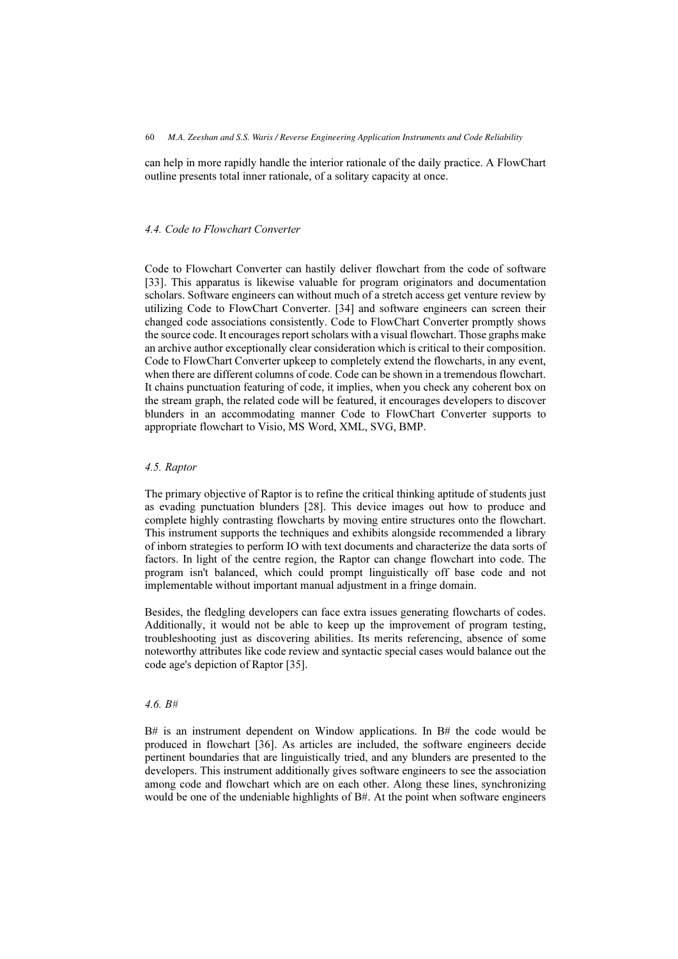can help in more rapidly handle the interior rationale of the daily practice. A FlowChart outline presents total inner rationale, of a solitary capacity at once.

# 4.4. Code to Flowchart Converter

Code to Flowchart Converter can hastily deliver flowchart from the code of software [33]. This apparatus is likewise valuable for program originators and documentation scholars. Software engineers can without much of a stretch access get venture review by utilizing Code to FlowChart Converter. [34] and software engineers can screen their changed code associations consistently. Code to FlowChart Converter promptly shows the source code. It encourages report scholars with a visual flowchart. Those graphs make an archive author exceptionally clear consideration which is critical to their composition. Code to FlowChart Converter upkeep to completely extend the flowcharts, in any event, when there are different columns of code. Code can be shown in a tremendous flowchart. It chains punctuation featuring of code, it implies, when you check any coherent box on the stream graph, the related code will be featured, it encourages developers to discover blunders in an accommodating manner Code to FlowChart Converter supports to appropriate flowchart to Visio, MS Word, XML, SVG, BMP.

# 4.5. Raptor

The primary objective of Raptor is to refine the critical thinking aptitude of students just as evading punctuation blunders [28]. This device images out how to produce and complete highly contrasting flowcharts by moving entire structures onto the flowchart. This instrument supports the techniques and exhibits alongside recommended a library of inborn strategies to perform IO with text documents and characterize the data sorts of factors. In light of the centre region, the Raptor can change flowchart into code. The program isn't balanced, which could prompt linguistically off base code and not implementable without important manual adjustment in a fringe domain.

Besides, the fledgling developers can face extra issues generating flowcharts of codes. Additionally, it would not be able to keep up the improvement of program testing, troubleshooting just as discovering abilities. Its merits referencing, absence of some noteworthy attributes like code review and syntactic special cases would balance out the code age's depiction of Raptor [35].

# 4.6. B#

 $B#$  is an instrument dependent on Window applications. In  $B#$  the code would be produced in flowchart [36]. As articles are included, the software engineers decide pertinent boundaries that are linguistically tried, and any blunders are presented to the developers. This instrument additionally gives software engineers to see the association among code and flowchart which are on each other. Along these lines, synchronizing would be one of the undeniable highlights of B#. At the point when software engineers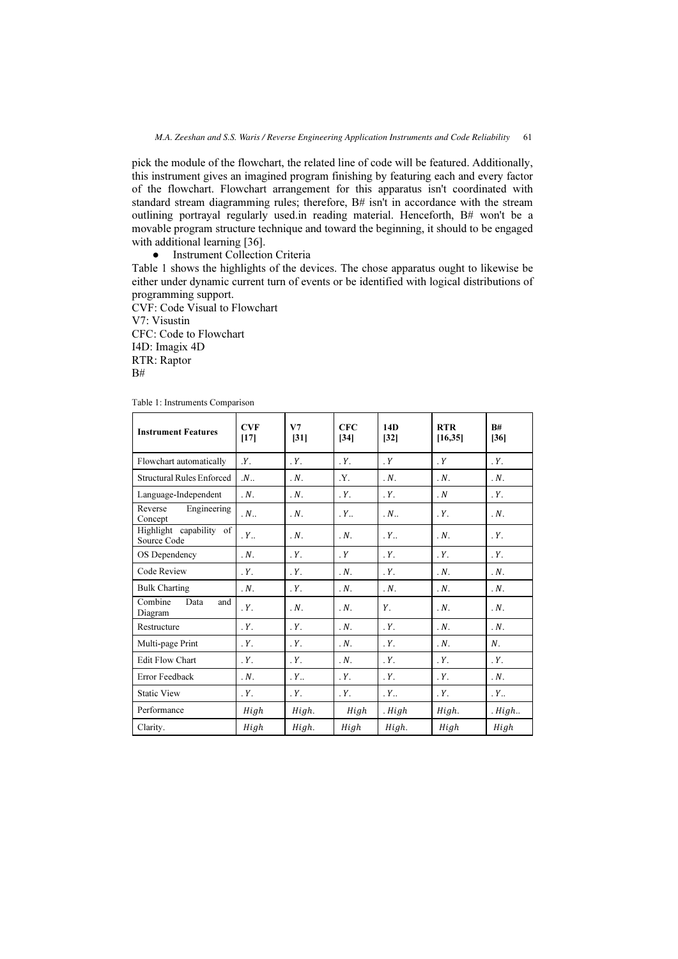pick the module of the flowchart, the related line of code will be featured. Additionally, this instrument gives an imagined program finishing by featuring each and every factor of the flowchart. Flowchart arrangement for this apparatus isn't coordinated with standard stream diagramming rules; therefore, B# isn't in accordance with the stream outlining portrayal regularly used.in reading material. Henceforth, B# won't be a movable program structure technique and toward the beginning, it should to be engaged with additional learning [36].

 $\bullet$ Instrument Collection Criteria

Table 1 shows the highlights of the devices. The chose apparatus ought to likewise be either under dynamic current turn of events or be identified with logical distributions of programming support.

CVF: Code Visual to Flowchart V7: Visustin CFC: Code to Flowchart I4D: Imagix 4D RTR: Raptor  $B#$ 

| <b>Instrument Features</b>             | <b>CVF</b><br>$[17]$ | V7<br>[31]       | CFC<br>$[34]$    | 14D<br>$[32]$    | <b>RTR</b><br>[16, 35] | R#<br>[36]       |
|----------------------------------------|----------------------|------------------|------------------|------------------|------------------------|------------------|
| Flowchart automatically                | $Y_{\cdot}$          | $Y$ .            | Y.               | Y                | Y                      | Y.               |
| <b>Structural Rules Enforced</b>       | $N_{\cdot}$          | $N$ .            | Y.               | $N$ .            | $N$ .                  | $N$ .            |
| Language-Independent                   | $N_{\cdot}$          | $N$ .            | $Y$ .            | Y.               | $\cdot N$              | $Y$ .            |
| Engineering<br>Reverse<br>Concept      | $N_{\cdot}$          | $N_{\cdot}$      | $Y_{\cdot\cdot}$ | $N_{\cdot}$      | $Y$ .                  | $N$ .            |
| Highlight capability of<br>Source Code | $Y_{\cdot\cdot}$     | $N$ .            | $\cdot$ N.       | $Y_{\cdot\cdot}$ | $N$ .                  | Y.               |
| OS Dependency                          | $N_{\cdot}$          | $Y_{-}$          | Y                | $Y_{-}$          | $Y_{-}$                | $Y$ .            |
| Code Review                            | Y.                   | $Y$ .            | $N$ .            | Y.               | $N$ .                  | $N$ .            |
| <b>Bulk Charting</b>                   | $\cdot N$ .          | Y.               | $N$ .            | $N$ .            | $N$ .                  | $N$ .            |
| Combine<br>Data<br>and<br>Diagram      | $Y_{-}$              | $N_{\cdot}$      | $N$ .            | Υ.               | $N_{\cdot}$            | $N$ .            |
| Restructure                            | $Y_{-}$              | $Y_{-}$          | $N$ .            | Y.               | $N_{\cdot}$            | $N$ .            |
| Multi-page Print                       | $Y$ .                | $Y$ .            | $\cdot N$ .      | Y.               | $N_{\cdot}$            | $N_{\cdot}$      |
| <b>Edit Flow Chart</b>                 | $Y_{-}$              | $Y$ .            | $\cdot N$ .      | Y.               | Y.                     | $Y$ .            |
| Error Feedback                         | $\cdot N$ .          | $Y_{\cdot\cdot}$ | $Y$ .            | $Y$ .            | Y.                     | $N$ .            |
| <b>Static View</b>                     | Y.                   | $Y$ .            | $Y$ .            | $Y_{\cdot\cdot}$ | Y.                     | $Y_{\cdot\cdot}$ |
| Performance                            | High                 | High.            | High             | . High           | High.                  | High.            |
| Clarity.                               | High                 | High.            | High             | High.            | High                   | High             |

Table 1: Instruments Comparison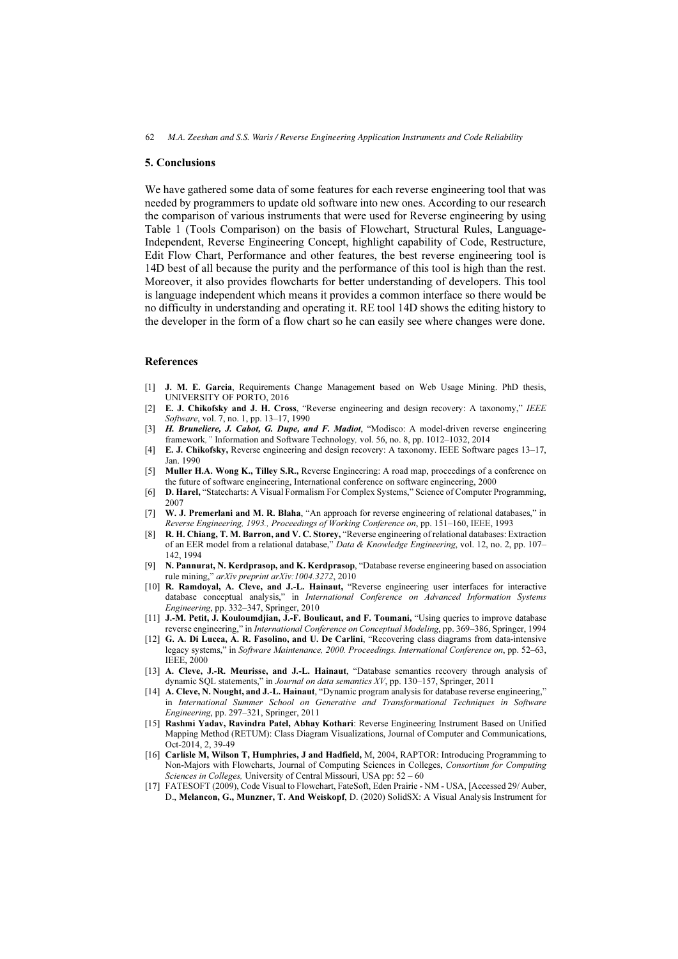#### 5. Conclusions

We have gathered some data of some features for each reverse engineering tool that was needed by programmers to update old software into new ones. According to our research the comparison of various instruments that were used for Reverse engineering by using Table 1 (Tools Comparison) on the basis of Flowchart, Structural Rules, Language-Independent, Reverse Engineering Concept, highlight capability of Code, Restructure, Edit Flow Chart, Performance and other features, the best reverse engineering tool is 14D best of all because the purity and the performance of this tool is high than the rest. Moreover, it also provides flowcharts for better understanding of developers. This tool is language independent which means it provides a common interface so there would be no difficulty in understanding and operating it. RE tool 14D shows the editing history to the developer in the form of a flow chart so he can easily see where changes were done.

#### References

- [1] J. M. E. Garcia, Requirements Change Management based on Web Usage Mining. PhD thesis, UNIVERSITY OF PORTO, 2016
- [2] E. J. Chikofsky and J. H. Cross, "Reverse engineering and design recovery: A taxonomy," IEEE Software, vol. 7, no. 1, pp. 13–17, 1990
- [3] H. Bruneliere, J. Cabot, G. Dupe, and F. Madiot, "Modisco: A model-driven reverse engineering framework," Information and Software Technology, vol. 56, no. 8, pp. 1012–1032, 2014
- [4] E. J. Chikofsky, Reverse engineering and design recovery: A taxonomy. IEEE Software pages 13–17, Jan. 1990
- [5] Muller H.A. Wong K., Tilley S.R., Reverse Engineering: A road map, proceedings of a conference on the future of software engineering, International conference on software engineering, 2000
- [6] D. Harel, "Statecharts: A Visual Formalism For Complex Systems," Science of Computer Programming, 2007
- [7] W. J. Premerlani and M. R. Blaha, "An approach for reverse engineering of relational databases," in Reverse Engineering, 1993., Proceedings of Working Conference on, pp. 151–160, IEEE, 1993
- [8] R. H. Chiang, T. M. Barron, and V. C. Storey, "Reverse engineering of relational databases: Extraction of an EER model from a relational database," Data & Knowledge Engineering, vol. 12, no. 2, pp. 107– 142, 1994
- [9] N. Pannurat, N. Kerdprasop, and K. Kerdprasop, "Database reverse engineering based on association rule mining," arXiv preprint arXiv:1004.3272, 2010
- [10] R. Ramdoyal, A. Cleve, and J.-L. Hainaut, "Reverse engineering user interfaces for interactive database conceptual analysis," in International Conference on Advanced Information Systems Engineering, pp. 332–347, Springer, 2010
- [11] J.-M. Petit, J. Kouloumdjian, J.-F. Boulicaut, and F. Toumani, "Using queries to improve database reverse engineering," in International Conference on Conceptual Modeling, pp. 369–386, Springer, 1994
- [12] G. A. Di Lucca, A. R. Fasolino, and U. De Carlini, "Recovering class diagrams from data-intensive legacy systems," in Software Maintenance, 2000. Proceedings. International Conference on, pp. 52–63, IEEE, 2000
- [13] A. Cleve, J.-R. Meurisse, and J.-L. Hainaut, "Database semantics recovery through analysis of dynamic SQL statements," in Journal on data semantics XV, pp. 130–157, Springer, 2011
- [14] **A. Cleve, N. Nought, and J.-L. Hainaut,** "Dynamic program analysis for database reverse engineering," in International Summer School on Generative and Transformational Techniques in Software Engineering, pp. 297–321, Springer, 2011
- [15] Rashmi Yadav, Ravindra Patel, Abhay Kothari: Reverse Engineering Instrument Based on Unified Mapping Method (RETUM): Class Diagram Visualizations, Journal of Computer and Communications, Oct-2014, 2, 39-49
- [16] Carlisle M, Wilson T, Humphries, J and Hadfield, M, 2004, RAPTOR: Introducing Programming to Non-Majors with Flowcharts, Journal of Computing Sciences in Colleges, Consortium for Computing Sciences in Colleges, University of Central Missouri, USA pp: 52 – 60
- [17] FATESOFT (2009), Code Visual to Flowchart, FateSoft, Eden Prairie NM USA, [Accessed 29/ Auber, D., Melancon, G., Munzner, T. And Weiskopf, D. (2020) SolidSX: A Visual Analysis Instrument for